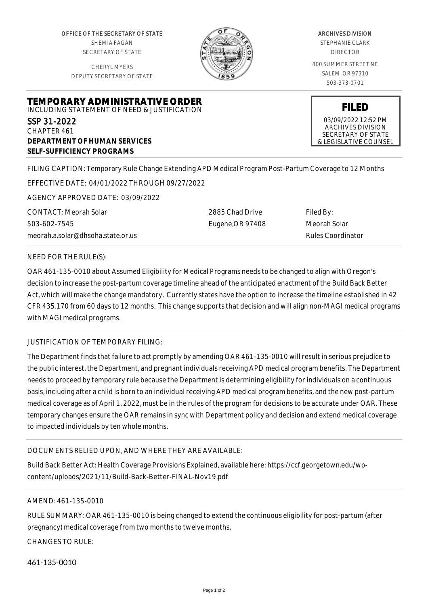OFFICE OF THE SECRETARY OF STATE SHEMIA FAGAN SECRETARY OF STATE

CHERYL MYERS DEPUTY SECRETARY OF STATE



### ARCHIVES DIVISION

STEPHANIE CLARK DIRECTOR

800 SUMMER STREET NE SALEM, OR 97310 503-373-0701

**FILED** 03/09/2022 12:52 PM ARCHIVES DIVISION SECRETARY OF STATE & LEGISLATIVE COUNSEL

**TEMPORARY ADMINISTRATIVE ORDER** INCLUDING STATEMENT OF NEED & JUSTIFICATION SSP 31-2022

CHAPTER 461 **DEPARTMENT OF HUMAN SERVICES SELF-SUFFICIENCY PROGRAMS**

FILING CAPTION: Temporary Rule Change Extending APD Medical Program Post-Partum Coverage to 12 Months

EFFECTIVE DATE: 04/01/2022 THROUGH 09/27/2022

AGENCY APPROVED DATE: 03/09/2022

CONTACT: Meorah Solar 503-602-7545 meorah.a.solar@dhsoha.state.or.us 2885 Chad Drive Eugene,OR 97408 Filed By: Meorah Solar Rules Coordinator

## NEED FOR THE RULE(S):

OAR 461-135-0010 about Assumed Eligibility for Medical Programs needs to be changed to align with Oregon's decision to increase the post-partum coverage timeline ahead of the anticipated enactment of the Build Back Better Act, which will make the change mandatory. Currently states have the option to increase the timeline established in 42 CFR 435.170 from 60 days to 12 months. This change supports that decision and will align non-MAGI medical programs with MAGI medical programs.

# JUSTIFICATION OF TEMPORARY FILING:

The Department finds that failure to act promptly by amending OAR 461-135-0010 will result in serious prejudice to the public interest, the Department, and pregnant individuals receiving APD medical program benefits. The Department needs to proceed by temporary rule because the Department is determining eligibility for individuals on a continuous basis, including after a child is born to an individual receiving APD medical program benefits, and the new post-partum medical coverage as of April 1, 2022, must be in the rules of the program for decisions to be accurate under OAR. These temporary changes ensure the OAR remains in sync with Department policy and decision and extend medical coverage to impacted individuals by ten whole months.

## DOCUMENTS RELIED UPON, AND WHERE THEY ARE AVAILABLE:

Build Back Better Act: Health Coverage Provisions Explained, available here: https://ccf.georgetown.edu/wpcontent/uploads/2021/11/Build-Back-Better-FINAL-Nov19.pdf

## AMEND: 461-135-0010

RULE SUMMARY: OAR 461-135-0010 is being changed to extend the continuous eligibility for post-partum (after pregnancy) medical coverage from two months to twelve months.

CHANGES TO RULE:

461-135-0010